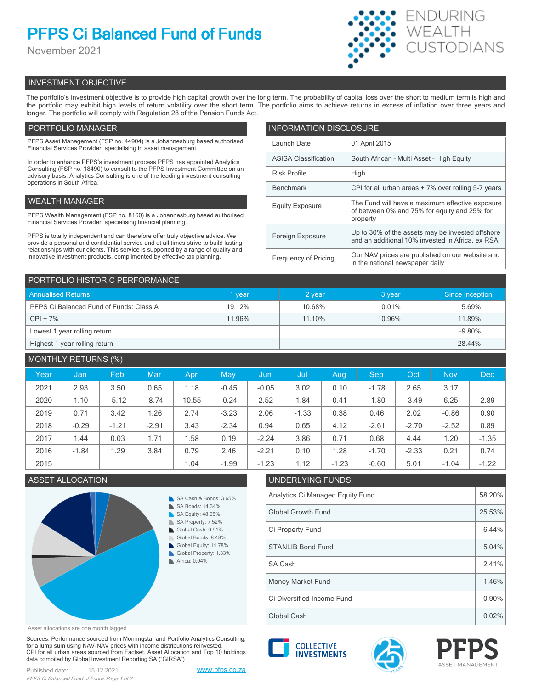# **PFPS Ci Balanced Fund of Funds**

November 2021



## INVESTMENT OBJECTIVE

The portfolio's investment objective is to provide high capital growth over the long term. The probability of capital loss over the short to medium term is high and the portfolio may exhibit high levels of return volatility over the short term. The portfolio aims to achieve returns in excess of inflation over three years and longer. The portfolio will comply with Regulation 28 of the Pension Funds Act.

## PORTFOLIO MANAGER

PFPS Asset Management (FSP no. 44904) is a Johannesburg based authorised Financial Services Provider, specialising in asset management.

In order to enhance PFPS's investment process PFPS has appointed Analytics Consulting (FSP no. 18490) to consult to the PFPS Investment Committee on an advisory basis. Analytics Consulting is one of the leading investment consulting operations in South Africa.

## WEALTH MANAGER

PFPS Wealth Management (FSP no. 8160) is a Johannesburg based authorised Financial Services Provider, specialising financial planning.

PFPS is totally independent and can therefore offer truly objective advice. We provide a personal and confidential service and at all times strive to build lasting relationships with our clients. This service is supported by a range of quality and innovative investment products, complimented by effective tax planning.

| <b>INFORMATION DISCLOSURE</b> |                                                                                                             |  |  |  |  |
|-------------------------------|-------------------------------------------------------------------------------------------------------------|--|--|--|--|
| Launch Date                   | 01 April 2015                                                                                               |  |  |  |  |
| <b>ASISA Classification</b>   | South African - Multi Asset - High Equity                                                                   |  |  |  |  |
| <b>Risk Profile</b>           | High                                                                                                        |  |  |  |  |
| <b>Benchmark</b>              | CPI for all urban areas + 7% over rolling 5-7 years                                                         |  |  |  |  |
| <b>Equity Exposure</b>        | The Fund will have a maximum effective exposure<br>of between 0% and 75% for equity and 25% for<br>property |  |  |  |  |
| Foreign Exposure              | Up to 30% of the assets may be invested offshore<br>and an additional 10% invested in Africa, ex RSA        |  |  |  |  |
| <b>Frequency of Pricing</b>   | Our NAV prices are published on our website and<br>in the national newspaper daily                          |  |  |  |  |

| PORTFOLIO HISTORIC PERFORMANCE          |             |        |        |                 |  |  |  |
|-----------------------------------------|-------------|--------|--------|-----------------|--|--|--|
| <b>Annualised Returns</b>               | <b>vear</b> | 2 year | 3 year | Since Inception |  |  |  |
| PFPS Ci Balanced Fund of Funds: Class A | 19.12%      | 10.68% | 10.01% | 5.69%           |  |  |  |
| $CPI + 7%$                              | 11.96%      | 11.10% | 10.96% | 11.89%          |  |  |  |
| Lowest 1 year rolling return            |             |        |        | $-9.80%$        |  |  |  |
| Highest 1 year rolling return           |             |        |        | 28.44%          |  |  |  |

| <b>MONTHLY RETURNS (%)</b> |         |         |         |       |         |         |         |         |         |         |            |         |
|----------------------------|---------|---------|---------|-------|---------|---------|---------|---------|---------|---------|------------|---------|
| Year                       | Jan     | Feb     | Mar     | Apr   | May     | Jun     | Jul     | Aug     | Sep     | Oct     | <b>Nov</b> | Dec     |
| 2021                       | 2.93    | 3.50    | 0.65    | 1.18  | $-0.45$ | $-0.05$ | 3.02    | 0.10    | $-1.78$ | 2.65    | 3.17       |         |
| 2020                       | 1.10    | $-5.12$ | $-8.74$ | 10.55 | $-0.24$ | 2.52    | 1.84    | 0.41    | $-1.80$ | $-3.49$ | 6.25       | 2.89    |
| 2019                       | 0.71    | 3.42    | 1.26    | 2.74  | $-3.23$ | 2.06    | $-1.33$ | 0.38    | 0.46    | 2.02    | $-0.86$    | 0.90    |
| 2018                       | $-0.29$ | $-1.21$ | $-2.91$ | 3.43  | $-2.34$ | 0.94    | 0.65    | 4.12    | $-2.61$ | $-2.70$ | $-2.52$    | 0.89    |
| 2017                       | 1.44    | 0.03    | 1.71    | 1.58  | 0.19    | $-2.24$ | 3.86    | 0.71    | 0.68    | 4.44    | 1.20       | $-1.35$ |
| 2016                       | $-1.84$ | 1.29    | 3.84    | 0.79  | 2.46    | $-2.21$ | 0.10    | 1.28    | $-1.70$ | $-2.33$ | 0.21       | 0.74    |
| 2015                       |         |         |         | 1.04  | $-1.99$ | $-1.23$ | 1.12    | $-1.23$ | $-0.60$ | 5.01    | $-1.04$    | $-1.22$ |

## ASSET ALLOCATION UNDERLYING FUNDS



Analytics Ci Managed Equity Fund 58.20% Global Growth Fund 25.53% Ci Property Fund 6.44% SA Cash 2.41% STANLIB Bond Fund 5.04%

Global Cash  $\vert$  0.02% Ci Diversified Income Fund 0.90% Money Market Fund 1.46%

Asset allocations are one month lagged

Sources: Performance sourced from Morningstar and Portfolio Analytics Consulting, for a lump sum using NAV-NAV prices with income distributions reinvested. CPI for all urban areas sourced from Factset. Asset Allocation and Top 10 holdings data compiled by Global Investment Reporting SA ("GIRSA")